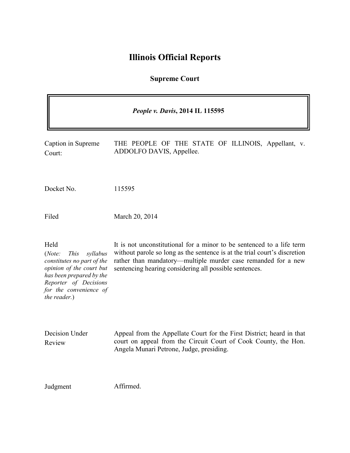# **Illinois Official Reports**

# **Supreme Court**

| People v. Davis, 2014 IL 115595                                                                                                                                                                    |                                                                                                                                                                                                                                                                               |
|----------------------------------------------------------------------------------------------------------------------------------------------------------------------------------------------------|-------------------------------------------------------------------------------------------------------------------------------------------------------------------------------------------------------------------------------------------------------------------------------|
| Caption in Supreme<br>Court:                                                                                                                                                                       | THE PEOPLE OF THE STATE OF ILLINOIS, Appellant, v.<br>ADDOLFO DAVIS, Appellee.                                                                                                                                                                                                |
| Docket No.                                                                                                                                                                                         | 115595                                                                                                                                                                                                                                                                        |
| Filed                                                                                                                                                                                              | March 20, 2014                                                                                                                                                                                                                                                                |
| Held<br>(Note:<br><i>This</i><br>syllabus<br>constitutes no part of the<br>opinion of the court but<br>has been prepared by the<br>Reporter of Decisions<br>for the convenience of<br>the reader.) | It is not unconstitutional for a minor to be sentenced to a life term<br>without parole so long as the sentence is at the trial court's discretion<br>rather than mandatory—multiple murder case remanded for a new<br>sentencing hearing considering all possible sentences. |
| Decision Under<br>Review                                                                                                                                                                           | Appeal from the Appellate Court for the First District; heard in that<br>court on appeal from the Circuit Court of Cook County, the Hon.<br>Angela Munari Petrone, Judge, presiding.                                                                                          |
| Judgment                                                                                                                                                                                           | Affirmed.                                                                                                                                                                                                                                                                     |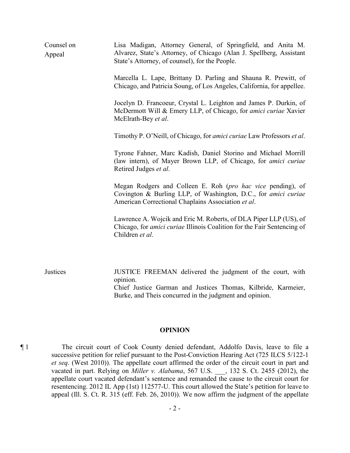| Counsel on<br>Appeal | Lisa Madigan, Attorney General, of Springfield, and Anita M.<br>Alvarez, State's Attorney, of Chicago (Alan J. Spellberg, Assistant<br>State's Attorney, of counsel), for the People.             |
|----------------------|---------------------------------------------------------------------------------------------------------------------------------------------------------------------------------------------------|
|                      | Marcella L. Lape, Brittany D. Parling and Shauna R. Prewitt, of<br>Chicago, and Patricia Soung, of Los Angeles, California, for appellee.                                                         |
|                      | Jocelyn D. Francoeur, Crystal L. Leighton and James P. Durkin, of<br>McDermott Will & Emery LLP, of Chicago, for amici curiae Xavier<br>McElrath-Bey et al.                                       |
|                      | Timothy P. O'Neill, of Chicago, for <i>amici curiae</i> Law Professors <i>et al.</i>                                                                                                              |
|                      | Tyrone Fahner, Marc Kadish, Daniel Storino and Michael Morrill<br>(law intern), of Mayer Brown LLP, of Chicago, for <i>amici curiae</i><br>Retired Judges et al.                                  |
|                      | Megan Rodgers and Colleen E. Roh (pro hac vice pending), of<br>Covington & Burling LLP, of Washington, D.C., for amici curiae<br>American Correctional Chaplains Association et al.               |
|                      | Lawrence A. Wojcik and Eric M. Roberts, of DLA Piper LLP (US), of<br>Chicago, for <i>amici curiae</i> Illinois Coalition for the Fair Sentencing of<br>Children et al.                            |
| Justices             | JUSTICE FREEMAN delivered the judgment of the court, with<br>opinion.<br>Chief Justice Garman and Justices Thomas, Kilbride, Karmeier,<br>Burke, and Theis concurred in the judgment and opinion. |

#### **OPINION**

¶ 1 The circuit court of Cook County denied defendant, Addolfo Davis, leave to file a successive petition for relief pursuant to the Post-Conviction Hearing Act (725 ILCS 5/122-1 *et seq*. (West 2010)). The appellate court affirmed the order of the circuit court in part and vacated in part. Relying on *Miller v. Alabama*, 567 U.S. \_\_\_, 132 S. Ct. 2455 (2012), the appellate court vacated defendant's sentence and remanded the cause to the circuit court for resentencing. 2012 IL App (1st) 112577-U. This court allowed the State's petition for leave to appeal (Ill. S. Ct. R. 315 (eff. Feb. 26, 2010)). We now affirm the judgment of the appellate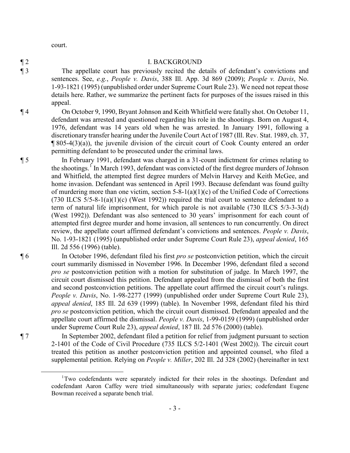court.

#### ¶ 2 I. BACKGROUND

¶ 3 The appellate court has previously recited the details of defendant's convictions and sentences. See, *e.g.*, *People v. Davis*, 388 Ill. App. 3d 869 (2009); *People v. Davis*, No. 1-93-1821 (1995) (unpublished order under Supreme Court Rule 23). We need not repeat those details here. Rather, we summarize the pertinent facts for purposes of the issues raised in this appeal.

- ¶ 4 On October 9, 1990, Bryant Johnson and Keith Whitfield were fatally shot. On October 11, defendant was arrested and questioned regarding his role in the shootings. Born on August 4, 1976, defendant was 14 years old when he was arrested. In January 1991, following a discretionary transfer hearing under the Juvenile Court Act of 1987 (Ill. Rev. Stat. 1989, ch. 37,  $\P$  805-4(3)(a)), the juvenile division of the circuit court of Cook County entered an order permitting defendant to be prosecuted under the criminal laws.
- ¶ 5 In February 1991, defendant was charged in a 31-count indictment for crimes relating to the shootings.<sup>[1](#page-2-0)</sup> In March 1993, defendant was convicted of the first degree murders of Johnson and Whitfield, the attempted first degree murders of Melvin Harvey and Keith McGee, and home invasion. Defendant was sentenced in April 1993. Because defendant was found guilty of murdering more than one victim, section  $5-8-1(a)(1)(c)$  of the Unified Code of Corrections (730 ILCS  $5/5-8-1(a)(1)(c)$  (West 1992)) required the trial court to sentence defendant to a term of natural life imprisonment, for which parole is not available (730 ILCS 5/3-3-3(d) (West 1992)). Defendant was also sentenced to 30 years' imprisonment for each count of attempted first degree murder and home invasion, all sentences to run concurrently. On direct review, the appellate court affirmed defendant's convictions and sentences. *People v. Davis*, No. 1-93-1821 (1995) (unpublished order under Supreme Court Rule 23), *appeal denied*, 165 Ill. 2d 556 (1996) (table).

¶ 6 In October 1996, defendant filed his first *pro se* postconviction petition, which the circuit court summarily dismissed in November 1996. In December 1996, defendant filed a second *pro se* postconviction petition with a motion for substitution of judge. In March 1997, the circuit court dismissed this petition. Defendant appealed from the dismissal of both the first and second postconviction petitions. The appellate court affirmed the circuit court's rulings. *People v. Davis*, No. 1-98-2277 (1999) (unpublished order under Supreme Court Rule 23), *appeal denied*, 185 Ill. 2d 639 (1999) (table). In November 1998, defendant filed his third *pro se* postconviction petition, which the circuit court dismissed. Defendant appealed and the appellate court affirmed the dismissal. *People v. Davis*, 1-99-0159 (1999) (unpublished order under Supreme Court Rule 23), *appeal denied*, 187 Ill. 2d 576 (2000) (table).

¶ 7 In September 2002, defendant filed a petition for relief from judgment pursuant to section 2-1401 of the Code of Civil Procedure (735 ILCS 5/2-1401 (West 2002)). The circuit court treated this petition as another postconviction petition and appointed counsel, who filed a supplemental petition. Relying on *People v. Miller*, 202 Ill. 2d 328 (2002) (hereinafter in text

<span id="page-2-0"></span> $\overline{1}$ <sup>1</sup>Two codefendants were separately indicted for their roles in the shootings. Defendant and codefendant Aaron Caffey were tried simultaneously with separate juries; codefendant Eugene Bowman received a separate bench trial.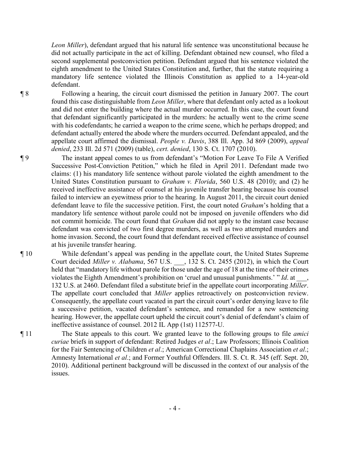*Leon Miller*), defendant argued that his natural life sentence was unconstitutional because he did not actually participate in the act of killing. Defendant obtained new counsel, who filed a second supplemental postconviction petition. Defendant argued that his sentence violated the eighth amendment to the United States Constitution and, further, that the statute requiring a mandatory life sentence violated the Illinois Constitution as applied to a 14-year-old defendant.

¶ 8 Following a hearing, the circuit court dismissed the petition in January 2007. The court found this case distinguishable from *Leon Miller*, where that defendant only acted as a lookout and did not enter the building where the actual murder occurred. In this case, the court found that defendant significantly participated in the murders: he actually went to the crime scene with his codefendants; he carried a weapon to the crime scene, which he perhaps dropped; and defendant actually entered the abode where the murders occurred. Defendant appealed, and the appellate court affirmed the dismissal. *People v. Davis*, 388 Ill. App. 3d 869 (2009), *appeal denied*, 233 Ill. 2d 571 (2009) (table), *cert. denied*, 130 S. Ct. 1707 (2010).

¶ 9 The instant appeal comes to us from defendant's "Motion For Leave To File A Verified Successive Post-Conviction Petition," which he filed in April 2011. Defendant made two claims: (1) his mandatory life sentence without parole violated the eighth amendment to the United States Constitution pursuant to *Graham v. Florida*, 560 U.S. 48 (2010); and (2) he received ineffective assistance of counsel at his juvenile transfer hearing because his counsel failed to interview an eyewitness prior to the hearing. In August 2011, the circuit court denied defendant leave to file the successive petition. First, the court noted *Graham*'s holding that a mandatory life sentence without parole could not be imposed on juvenile offenders who did not commit homicide. The court found that *Graham* did not apply to the instant case because defendant was convicted of two first degree murders, as well as two attempted murders and home invasion. Second, the court found that defendant received effective assistance of counsel at his juvenile transfer hearing.

¶ 10 While defendant's appeal was pending in the appellate court, the United States Supreme Court decided *Miller v. Alabama*, 567 U.S. \_\_\_, 132 S. Ct. 2455 (2012), in which the Court held that "mandatory life without parole for those under the age of 18 at the time of their crimes violates the Eighth Amendment's prohibition on 'cruel and unusual punishments.' " *Id*. at \_\_\_, 132 U.S. at 2460. Defendant filed a substitute brief in the appellate court incorporating *Miller*. The appellate court concluded that *Miller* applies retroactively on postconviction review. Consequently, the appellate court vacated in part the circuit court's order denying leave to file a successive petition, vacated defendant's sentence, and remanded for a new sentencing hearing. However, the appellate court upheld the circuit court's denial of defendant's claim of ineffective assistance of counsel. 2012 IL App (1st) 112577-U.

¶ 11 The State appeals to this court. We granted leave to the following groups to file *amici curiae* briefs in support of defendant: Retired Judges *et al*.; Law Professors; Illinois Coalition for the Fair Sentencing of Children *et al*.; American Correctional Chaplains Association *et al*.; Amnesty International *et al*.; and Former Youthful Offenders. Ill. S. Ct. R. 345 (eff. Sept. 20, 2010). Additional pertinent background will be discussed in the context of our analysis of the issues.

- 4 -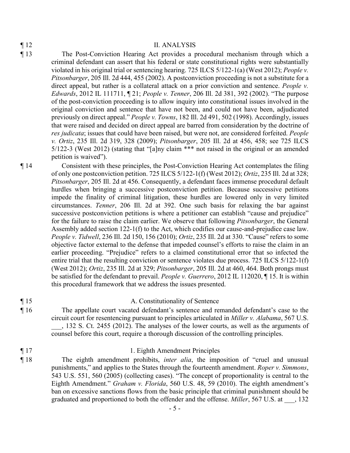#### ¶ 12 II. ANALYSIS

- ¶ 13 The Post-Conviction Hearing Act provides a procedural mechanism through which a criminal defendant can assert that his federal or state constitutional rights were substantially violated in his original trial or sentencing hearing. 725 ILCS 5/122-1(a) (West 2012); *People v. Pitsonbarger*, 205 Ill. 2d 444, 455 (2002). A postconviction proceeding is not a substitute for a direct appeal, but rather is a collateral attack on a prior conviction and sentence. *People v. Edwards*, 2012 IL 111711, ¶ 21; *People v. Tenner*, 206 Ill. 2d 381, 392 (2002). "The purpose of the post-conviction proceeding is to allow inquiry into constitutional issues involved in the original conviction and sentence that have not been, and could not have been, adjudicated previously on direct appeal." *People v. Towns*, 182 Ill. 2d 491, 502 (1998). Accordingly, issues that were raised and decided on direct appeal are barred from consideration by the doctrine of *res judicata*; issues that could have been raised, but were not, are considered forfeited. *People v. Ortiz*, 235 Ill. 2d 319, 328 (2009); *Pitsonbarger*, 205 Ill. 2d at 456, 458; see 725 ILCS 5/122-3 (West 2012) (stating that "[a]ny claim \*\*\* not raised in the original or an amended petition is waived").
- 

¶ 14 Consistent with these principles, the Post-Conviction Hearing Act contemplates the filing of only one postconviction petition. 725 ILCS 5/122-1(f) (West 2012); *Ortiz*, 235 Ill. 2d at 328; *Pitsonbarger*, 205 Ill. 2d at 456. Consequently, a defendant faces immense procedural default hurdles when bringing a successive postconviction petition. Because successive petitions impede the finality of criminal litigation, these hurdles are lowered only in very limited circumstances. *Tenner*, 206 Ill. 2d at 392. One such basis for relaxing the bar against successive postconviction petitions is where a petitioner can establish "cause and prejudice" for the failure to raise the claim earlier. We observe that following *Pitsonbarger*, the General Assembly added section 122-1(f) to the Act, which codifies our cause-and-prejudice case law. *People v. Tidwell*, 236 Ill. 2d 150, 156 (2010); *Ortiz*, 235 Ill. 2d at 330. "Cause" refers to some objective factor external to the defense that impeded counsel's efforts to raise the claim in an earlier proceeding. "Prejudice" refers to a claimed constitutional error that so infected the entire trial that the resulting conviction or sentence violates due process. 725 ILCS 5/122-1(f) (West 2012); *Ortiz*, 235 Ill. 2d at 329; *Pitsonbarger*, 205 Ill. 2d at 460, 464. Both prongs must be satisfied for the defendant to prevail. *People v. Guerrero*, 2012 IL 112020, ¶ 15. It is within this procedural framework that we address the issues presented.

¶ 15 A. Constitutionality of Sentence

- ¶ 16 The appellate court vacated defendant's sentence and remanded defendant's case to the circuit court for resentencing pursuant to principles articulated in *Miller v. Alabama*, 567 U.S. \_\_\_, 132 S. Ct. 2455 (2012). The analyses of the lower courts, as well as the arguments of counsel before this court, require a thorough discussion of the controlling principles.
- ¶ 17 1. Eighth Amendment Principles
- ¶ 18 The eighth amendment prohibits, *inter alia*, the imposition of "cruel and unusual punishments," and applies to the States through the fourteenth amendment. *Roper v. Simmons*, 543 U.S. 551, 560 (2005) (collecting cases). "The concept of proportionality is central to the Eighth Amendment." *Graham v. Florida*, 560 U.S. 48, 59 (2010). The eighth amendment's ban on excessive sanctions flows from the basic principle that criminal punishment should be graduated and proportioned to both the offender and the offense. *Miller*, 567 U.S. at  $\qquad$ , 132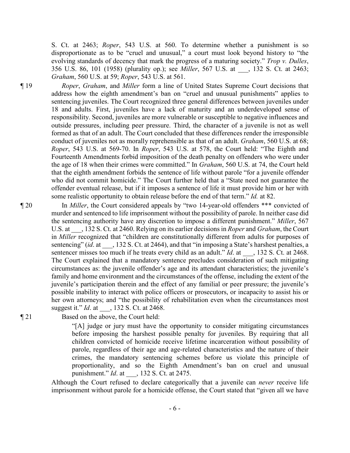S. Ct. at 2463; *Roper*, 543 U.S. at 560. To determine whether a punishment is so disproportionate as to be "cruel and unusual," a court must look beyond history to "the evolving standards of decency that mark the progress of a maturing society." *Trop v. Dulles*, 356 U.S. 86, 101 (1958) (plurality op.); see *Miller*, 567 U.S. at \_\_\_, 132 S. Ct. at 2463; *Graham*, 560 U.S. at 59; *Roper*, 543 U.S. at 561.

¶ 19 *Roper*, *Graham*, and *Miller* form a line of United States Supreme Court decisions that address how the eighth amendment's ban on "cruel and unusual punishments" applies to sentencing juveniles. The Court recognized three general differences between juveniles under 18 and adults. First, juveniles have a lack of maturity and an underdeveloped sense of responsibility. Second, juveniles are more vulnerable or susceptible to negative influences and outside pressures, including peer pressure. Third, the character of a juvenile is not as well formed as that of an adult. The Court concluded that these differences render the irresponsible conduct of juveniles not as morally reprehensible as that of an adult. *Graham*, 560 U.S. at 68; *Roper*, 543 U.S. at 569-70. In *Roper*, 543 U.S. at 578, the Court held: "The Eighth and Fourteenth Amendments forbid imposition of the death penalty on offenders who were under the age of 18 when their crimes were committed." In *Graham*, 560 U.S. at 74, the Court held that the eighth amendment forbids the sentence of life without parole "for a juvenile offender who did not commit homicide." The Court further held that a "State need not guarantee the offender eventual release, but if it imposes a sentence of life it must provide him or her with some realistic opportunity to obtain release before the end of that term." *Id.* at 82.

¶ 20 In *Miller*, the Court considered appeals by "two 14-year-old offenders \*\*\* convicted of murder and sentenced to life imprisonment without the possibility of parole. In neither case did the sentencing authority have any discretion to impose a different punishment." *Miller*, 567 U.S. at \_\_\_, 132 S. Ct. at 2460. Relying on its earlier decisions in *Roper* and *Graham*, the Court in *Miller* recognized that "children are constitutionally different from adults for purposes of sentencing" (*id.* at  $\qquad$ , 132 S. Ct. at 2464), and that "in imposing a State's harshest penalties, a sentencer misses too much if he treats every child as an adult." *Id.* at  $\qquad$ , 132 S. Ct. at 2468. The Court explained that a mandatory sentence precludes consideration of such mitigating circumstances as: the juvenile offender's age and its attendant characteristics; the juvenile's family and home environment and the circumstances of the offense, including the extent of the juvenile's participation therein and the effect of any familial or peer pressure; the juvenile's possible inability to interact with police officers or prosecutors, or incapacity to assist his or her own attorneys; and "the possibility of rehabilitation even when the circumstances most suggest it." *Id*. at \_\_\_, 132 S. Ct. at 2468.

¶ 21 Based on the above, the Court held:

"[A] judge or jury must have the opportunity to consider mitigating circumstances before imposing the harshest possible penalty for juveniles. By requiring that all children convicted of homicide receive lifetime incarceration without possibility of parole, regardless of their age and age-related characteristics and the nature of their crimes, the mandatory sentencing schemes before us violate this principle of proportionality, and so the Eighth Amendment's ban on cruel and unusual punishment." *Id*. at \_\_\_, 132 S. Ct. at 2475.

Although the Court refused to declare categorically that a juvenile can *never* receive life imprisonment without parole for a homicide offense, the Court stated that "given all we have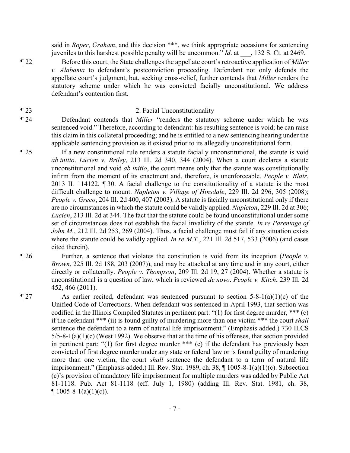said in *Roper*, *Graham*, and this decision \*\*\*, we think appropriate occasions for sentencing juveniles to this harshest possible penalty will be uncommon." *Id*. at \_\_\_, 132 S. Ct. at 2469.

¶ 22 Before this court, the State challenges the appellate court's retroactive application of *Miller v. Alabama* to defendant's postconviction proceeding. Defendant not only defends the appellate court's judgment, but, seeking cross-relief, further contends that *Miller* renders the statutory scheme under which he was convicted facially unconstitutional. We address defendant's contention first.

#### ¶ 23 2. Facial Unconstitutionality

- ¶ 24 Defendant contends that *Miller* "renders the statutory scheme under which he was sentenced void." Therefore, according to defendant: his resulting sentence is void; he can raise this claim in this collateral proceeding; and he is entitled to a new sentencing hearing under the applicable sentencing provision as it existed prior to its allegedly unconstitutional form.
- ¶ 25 If a new constitutional rule renders a statute facially unconstitutional, the statute is void *ab initio*. *Lucien v. Briley*, 213 Ill. 2d 340, 344 (2004). When a court declares a statute unconstitutional and void *ab initio*, the court means only that the statute was constitutionally infirm from the moment of its enactment and, therefore, is unenforceable. *People v. Blair*, 2013 IL 114122, ¶ 30. A facial challenge to the constitutionality of a statute is the most difficult challenge to mount. *Napleton v. Village of Hinsdale*, 229 Ill. 2d 296, 305 (2008); *People v. Greco*, 204 Ill. 2d 400, 407 (2003). A statute is facially unconstitutional only if there are no circumstances in which the statute could be validly applied. *Napleton*, 229 Ill. 2d at 306; *Lucien*, 213 Ill. 2d at 344. The fact that the statute could be found unconstitutional under some set of circumstances does not establish the facial invalidity of the statute. *In re Parentage of John M.*, 212 Ill. 2d 253, 269 (2004). Thus, a facial challenge must fail if any situation exists where the statute could be validly applied. *In re M.T.*, 221 Ill. 2d 517, 533 (2006) (and cases cited therein).
- ¶ 26 Further, a sentence that violates the constitution is void from its inception (*People v. Brown*, 225 Ill. 2d 188, 203 (2007)), and may be attacked at any time and in any court, either directly or collaterally. *People v. Thompson*, 209 Ill. 2d 19, 27 (2004). Whether a statute is unconstitutional is a question of law, which is reviewed *de novo*. *People v. Kitch*, 239 Ill. 2d 452, 466 (2011).
- $\P$  27 As earlier recited, defendant was sentenced pursuant to section 5-8-1(a)(1)(c) of the Unified Code of Corrections. When defendant was sentenced in April 1993, that section was codified in the Illinois Compiled Statutes in pertinent part: "(1) for first degree murder, \*\*\* (c) if the defendant \*\*\* (ii) is found guilty of murdering more than one victim \*\*\* the court *shall* sentence the defendant to a term of natural life imprisonment." (Emphasis added.) 730 ILCS  $5/5-8-1(a)(1)(c)$  (West 1992). We observe that at the time of his offenses, that section provided in pertinent part: "(1) for first degree murder \*\*\* (c) if the defendant has previously been convicted of first degree murder under any state or federal law or is found guilty of murdering more than one victim, the court *shall* sentence the defendant to a term of natural life imprisonment." (Emphasis added.) Ill. Rev. Stat. 1989, ch. 38, ¶ 1005-8-1(a)(1)(c). Subsection (c)'s provision of mandatory life imprisonment for multiple murders was added by Public Act 81-1118. Pub. Act 81-1118 (eff. July 1, 1980) (adding Ill. Rev. Stat. 1981, ch. 38,  $\P$  1005-8-1(a)(1)(c)).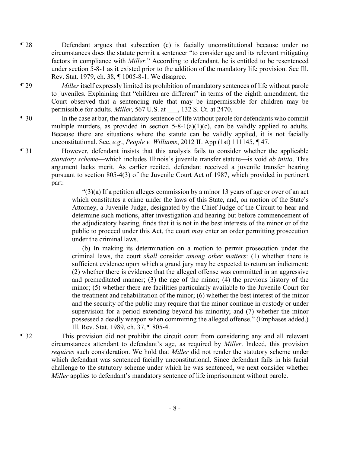- ¶ 28 Defendant argues that subsection (c) is facially unconstitutional because under no circumstances does the statute permit a sentencer "to consider age and its relevant mitigating factors in compliance with *Miller*." According to defendant, he is entitled to be resentenced under section 5-8-1 as it existed prior to the addition of the mandatory life provision. See Ill. Rev. Stat. 1979, ch. 38, ¶ 1005-8-1. We disagree.
- ¶ 29 *Miller* itself expressly limited its prohibition of mandatory sentences of life without parole to juveniles. Explaining that "children are different" in terms of the eighth amendment, the Court observed that a sentencing rule that may be impermissible for children may be permissible for adults. *Miller*, 567 U.S. at \_\_\_, 132 S. Ct. at 2470.
- ¶ 30 In the case at bar, the mandatory sentence of life without parole for defendants who commit multiple murders, as provided in section  $5-8-1(a)(1)(c)$ , can be validly applied to adults. Because there are situations where the statute can be validly applied, it is not facially unconstitutional. See, *e.g.*, *People v. Williams*, 2012 IL App (1st) 111145, ¶ 47.
- ¶ 31 However, defendant insists that this analysis fails to consider whether the applicable *statutory scheme*—which includes Illinois's juvenile transfer statute—is void *ab initio*. This argument lacks merit. As earlier recited, defendant received a juvenile transfer hearing pursuant to section 805-4(3) of the Juvenile Court Act of 1987, which provided in pertinent part:

 $(3)(a)$  If a petition alleges commission by a minor 13 years of age or over of an act which constitutes a crime under the laws of this State, and, on motion of the State's Attorney, a Juvenile Judge, designated by the Chief Judge of the Circuit to hear and determine such motions, after investigation and hearing but before commencement of the adjudicatory hearing, finds that it is not in the best interests of the minor or of the public to proceed under this Act, the court *may* enter an order permitting prosecution under the criminal laws.

(b) In making its determination on a motion to permit prosecution under the criminal laws, the court *shall* consider *among other matters*: (1) whether there is sufficient evidence upon which a grand jury may be expected to return an indictment; (2) whether there is evidence that the alleged offense was committed in an aggressive and premeditated manner; (3) the age of the minor; (4) the previous history of the minor; (5) whether there are facilities particularly available to the Juvenile Court for the treatment and rehabilitation of the minor; (6) whether the best interest of the minor and the security of the public may require that the minor continue in custody or under supervision for a period extending beyond his minority; and (7) whether the minor possessed a deadly weapon when committing the alleged offense." (Emphases added.) Ill. Rev. Stat. 1989, ch. 37, ¶ 805-4.

¶ 32 This provision did not prohibit the circuit court from considering any and all relevant circumstances attendant to defendant's age, as required by *Miller*. Indeed, this provision *requires* such consideration. We hold that *Miller* did not render the statutory scheme under which defendant was sentenced facially unconstitutional. Since defendant fails in his facial challenge to the statutory scheme under which he was sentenced, we next consider whether *Miller* applies to defendant's mandatory sentence of life imprisonment without parole.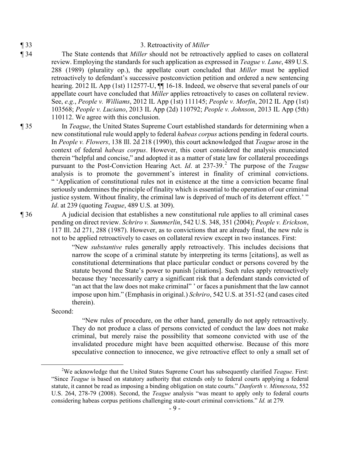#### ¶ 33 3. Retroactivity of *Miller*

¶ 34 The State contends that *Miller* should not be retroactively applied to cases on collateral review. Employing the standards for such application as expressed in *Teague v. Lane*, 489 U.S. 288 (1989) (plurality op.), the appellate court concluded that *Miller* must be applied retroactively to defendant's successive postconviction petition and ordered a new sentencing hearing. 2012 IL App (1st) 112577-U,  $\P\P$  16-18. Indeed, we observe that several panels of our appellate court have concluded that *Miller* applies retroactively to cases on collateral review. See, *e.g.*, *People v. Williams*, 2012 IL App (1st) 111145; *People v. Morfin*, 2012 IL App (1st) 103568; *People v. Luciano*, 2013 IL App (2d) 110792; *People v. Johnson*, 2013 IL App (5th) 110112. We agree with this conclusion.

¶ 35 In *Teague*, the United States Supreme Court established standards for determining when a new constitutional rule would apply to federal *habeas corpus* actions pending in federal courts. In *People v. Flowers*, 138 Ill. 2d 218 (1990), this court acknowledged that *Teague* arose in the context of federal *habeas corpus*. However, this court considered the analysis enunciated therein "helpful and concise," and adopted it as a matter of state law for collateral proceedings pursuant to the Post-Conviction Hearing Act. *Id*. at 237-39.[2](#page-8-0) The purpose of the *Teague* analysis is to promote the government's interest in finality of criminal convictions. " 'Application of constitutional rules not in existence at the time a conviction became final seriously undermines the principle of finality which is essential to the operation of our criminal justice system. Without finality, the criminal law is deprived of much of its deterrent effect.' " *Id*. at 239 (quoting *Teague*, 489 U.S. at 309).

¶ 36 A judicial decision that establishes a new constitutional rule applies to all criminal cases pending on direct review. *Schriro v. Summerlin*, 542 U.S. 348, 351 (2004); *People v. Erickson*, 117 Ill. 2d 271, 288 (1987). However, as to convictions that are already final, the new rule is not to be applied retroactively to cases on collateral review except in two instances. First:

> "New *substantive* rules generally apply retroactively. This includes decisions that narrow the scope of a criminal statute by interpreting its terms [citations], as well as constitutional determinations that place particular conduct or persons covered by the statute beyond the State's power to punish [citations]. Such rules apply retroactively because they 'necessarily carry a significant risk that a defendant stands convicted of "an act that the law does not make criminal" ' or faces a punishment that the law cannot impose upon him." (Emphasis in original.) *Schriro*, 542 U.S. at 351-52 (and cases cited therein).

Second:

"New rules of procedure, on the other hand, generally do not apply retroactively. They do not produce a class of persons convicted of conduct the law does not make criminal, but merely raise the possibility that someone convicted with use of the invalidated procedure might have been acquitted otherwise. Because of this more speculative connection to innocence, we give retroactive effect to only a small set of

<span id="page-8-0"></span> <sup>2</sup> We acknowledge that the United States Supreme Court has subsequently clarified *Teague*. First: "Since *Teague* is based on statutory authority that extends only to federal courts applying a federal statute, it cannot be read as imposing a binding obligation on state courts." *Danforth v. Minnesota*, 552 U.S. 264, 278-79 (2008). Second, the *Teague* analysis "was meant to apply only to federal courts considering habeas corpus petitions challenging state-court criminal convictions." *Id.* at 279*.*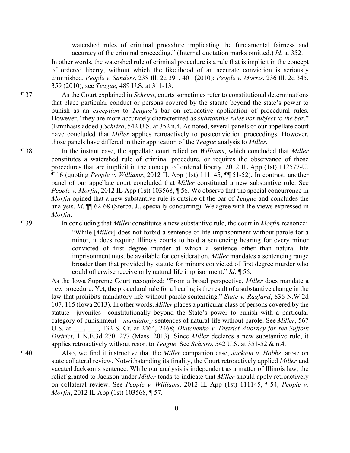watershed rules of criminal procedure implicating the fundamental fairness and accuracy of the criminal proceeding." (Internal quotation marks omitted.) *Id*. at 352.

In other words, the watershed rule of criminal procedure is a rule that is implicit in the concept of ordered liberty, without which the likelihood of an accurate conviction is seriously diminished. *People v. Sanders*, 238 Ill. 2d 391, 401 (2010); *People v. Morris*, 236 Ill. 2d 345, 359 (2010); see *Teague*, 489 U.S. at 311-13.

¶ 37 As the Court explained in *Schriro*, courts sometimes refer to constitutional determinations that place particular conduct or persons covered by the statute beyond the state's power to punish as an *exception* to *Teague*'s bar on retroactive application of procedural rules. However, "they are more accurately characterized as *substantive rules not subject to the bar*." (Emphasis added.) *Schriro*, 542 U.S. at 352 n.4. As noted, several panels of our appellate court have concluded that *Miller* applies retroactively to postconviction proceedings. However, those panels have differed in their application of the *Teague* analysis to *Miller*.

¶ 38 In the instant case, the appellate court relied on *Williams*, which concluded that *Miller* constitutes a watershed rule of criminal procedure, or requires the observance of those procedures that are implicit in the concept of ordered liberty. 2012 IL App (1st) 112577-U, ¶ 16 (quoting *People v. Williams*, 2012 IL App (1st) 111145, ¶¶ 51-52). In contrast, another panel of our appellate court concluded that *Miller* constituted a new substantive rule. See *People v. Morfin*, 2012 IL App (1st) 103568, ¶ 56. We observe that the special concurrence in *Morfin* opined that a new substantive rule is outside of the bar of *Teague* and concludes the analysis. *Id*. ¶¶ 62-68 (Sterba, J., specially concurring). We agree with the views expressed in *Morfin*.

¶ 39 In concluding that *Miller* constitutes a new substantive rule, the court in *Morfin* reasoned: "While [*Miller*] does not forbid a sentence of life imprisonment without parole for a minor, it does require Illinois courts to hold a sentencing hearing for every minor convicted of first degree murder at which a sentence other than natural life imprisonment must be available for consideration. *Miller* mandates a sentencing range broader than that provided by statute for minors convicted of first degree murder who could otherwise receive only natural life imprisonment." *Id*. ¶ 56.

> As the Iowa Supreme Court recognized: "From a broad perspective, *Miller* does mandate a new procedure. Yet, the procedural rule for a hearing is the result of a substantive change in the law that prohibits mandatory life-without-parole sentencing." *State v. Ragland*, 836 N.W.2d 107, 115 (Iowa 2013). In other words, *Miller* places a particular class of persons covered by the statute—juveniles—constitutionally beyond the State's power to punish with a particular category of punishment—*mandatory* sentences of natural life without parole. See *Miller*, 567 U.S. at  $\qquad \qquad , \qquad$  132 S. Ct. at 2464, 2468; *Diatchenko v. District Attorney for the Suffolk District*, 1 N.E.3d 270, 277 (Mass. 2013). Since *Miller* declares a new substantive rule, it applies retroactively without resort to *Teague*. See *Schriro*, 542 U.S. at 351-52 & n.4.

¶ 40 Also, we find it instructive that the *Miller* companion case, *Jackson v. Hobbs*, arose on state collateral review. Notwithstanding its finality, the Court retroactively applied *Miller* and vacated Jackson's sentence. While our analysis is independent as a matter of Illinois law, the relief granted to Jackson under *Miller* tends to indicate that *Miller* should apply retroactively on collateral review. See *People v. Williams*, 2012 IL App (1st) 111145, ¶ 54; *People v. Morfin*, 2012 IL App (1st) 103568, ¶ 57.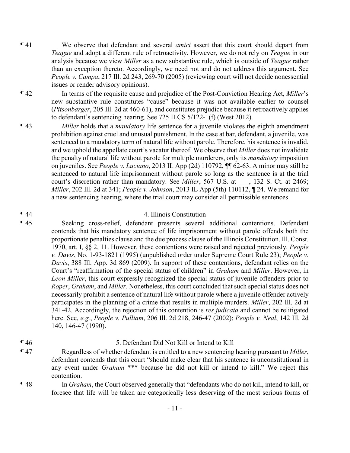- ¶ 41 We observe that defendant and several *amici* assert that this court should depart from *Teague* and adopt a different rule of retroactivity. However, we do not rely on *Teague* in our analysis because we view *Miller* as a new substantive rule, which is outside of *Teague* rather than an exception thereto. Accordingly, we need not and do not address this argument. See *People v. Campa*, 217 Ill. 2d 243, 269-70 (2005) (reviewing court will not decide nonessential issues or render advisory opinions).
- ¶ 42 In terms of the requisite cause and prejudice of the Post-Conviction Hearing Act, *Miller*'s new substantive rule constitutes "cause" because it was not available earlier to counsel (*Pitsonbarger*, 205 Ill. 2d at 460-61), and constitutes prejudice because it retroactively applies to defendant's sentencing hearing. See 725 ILCS 5/122-1(f) (West 2012).
- ¶ 43 *Miller* holds that a *mandatory* life sentence for a juvenile violates the eighth amendment prohibition against cruel and unusual punishment. In the case at bar, defendant, a juvenile, was sentenced to a mandatory term of natural life without parole. Therefore, his sentence is invalid, and we uphold the appellate court's vacatur thereof. We observe that *Miller* does not invalidate the penalty of natural life without parole for multiple murderers, only its *mandatory* imposition on juveniles. See *People v. Luciano*, 2013 IL App (2d) 110792, ¶¶ 62-63. A minor may still be sentenced to natural life imprisonment without parole so long as the sentence is at the trial court's discretion rather than mandatory. See *Miller*, 567 U.S. at \_\_\_, 132 S. Ct. at 2469; *Miller*, 202 Ill. 2d at 341; *People v. Johnson*, 2013 IL App (5th) 110112, ¶ 24. We remand for a new sentencing hearing, where the trial court may consider all permissible sentences.

#### ¶ 44 4. Illinois Constitution

¶ 45 Seeking cross-relief, defendant presents several additional contentions. Defendant contends that his mandatory sentence of life imprisonment without parole offends both the proportionate penalties clause and the due process clause of the Illinois Constitution. Ill. Const. 1970, art. I, §§ 2, 11. However, these contentions were raised and rejected previously. *People v. Davis*, No. 1-93-1821 (1995) (unpublished order under Supreme Court Rule 23); *People v. Davis*, 388 Ill. App. 3d 869 (2009). In support of these contentions, defendant relies on the Court's "reaffirmation of the special status of children" in *Graham* and *Miller*. However, in *Leon Miller*, this court expressly recognized the special status of juvenile offenders prior to *Roper*, *Graham*, and *Miller*. Nonetheless, this court concluded that such special status does not necessarily prohibit a sentence of natural life without parole where a juvenile offender actively participates in the planning of a crime that results in multiple murders. *Miller*, 202 Ill. 2d at 341-42. Accordingly, the rejection of this contention is *res judicata* and cannot be relitigated here. See, *e.g.*, *People v. Pulliam*, 206 Ill. 2d 218, 246-47 (2002); *People v. Neal*, 142 Ill. 2d 140, 146-47 (1990).

### ¶ 46 5. Defendant Did Not Kill or Intend to Kill

- ¶ 47 Regardless of whether defendant is entitled to a new sentencing hearing pursuant to *Miller*, defendant contends that this court "should make clear that his sentence is unconstitutional in any event under *Graham* \*\*\* because he did not kill or intend to kill." We reject this contention.
- 
- ¶ 48 In *Graham*, the Court observed generally that "defendants who do not kill, intend to kill, or foresee that life will be taken are categorically less deserving of the most serious forms of
	- 11 -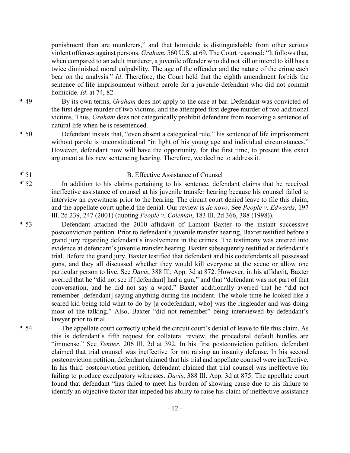punishment than are murderers," and that homicide is distinguishable from other serious violent offenses against persons. *Graham*, 560 U.S. at 69. The Court reasoned: "It follows that, when compared to an adult murderer, a juvenile offender who did not kill or intend to kill has a twice diminished moral culpability. The age of the offender and the nature of the crime each bear on the analysis." *Id*. Therefore, the Court held that the eighth amendment forbids the sentence of life imprisonment without parole for a juvenile defendant who did not commit homicide. *Id*. at 74, 82.

- ¶ 49 By its own terms, *Graham* does not apply to the case at bar. Defendant was convicted of the first degree murder of two victims, and the attempted first degree murder of two additional victims. Thus, *Graham* does not categorically prohibit defendant from receiving a sentence of natural life when he is resentenced.
- ¶ 50 Defendant insists that, "even absent a categorical rule," his sentence of life imprisonment without parole is unconstitutional "in light of his young age and individual circumstances." However, defendant now will have the opportunity, for the first time, to present this exact argument at his new sentencing hearing. Therefore, we decline to address it.

### ¶ 51 B. Effective Assistance of Counsel

- ¶ 52 In addition to his claims pertaining to his sentence, defendant claims that he received ineffective assistance of counsel at his juvenile transfer hearing because his counsel failed to interview an eyewitness prior to the hearing. The circuit court denied leave to file this claim, and the appellate court upheld the denial. Our review is *de novo*. See *People v. Edwards*, 197 Ill. 2d 239, 247 (2001) (quoting *People v. Coleman*, 183 Ill. 2d 366, 388 (1998)).
- ¶ 53 Defendant attached the 2010 affidavit of Lamont Baxter to the instant successive postconviction petition. Prior to defendant's juvenile transfer hearing, Baxter testified before a grand jury regarding defendant's involvement in the crimes. The testimony was entered into evidence at defendant's juvenile transfer hearing. Baxter subsequently testified at defendant's trial. Before the grand jury, Baxter testified that defendant and his codefendants all possessed guns, and they all discussed whether they would kill everyone at the scene or allow one particular person to live. See *Davis*, 388 Ill. App. 3d at 872. However, in his affidavit, Baxter averred that he "did not see if [defendant] had a gun," and that "defendant was not part of that conversation, and he did not say a word." Baxter additionally averred that he "did not remember [defendant] saying anything during the incident. The whole time he looked like a scared kid being told what to do by [a codefendant, who] was the ringleader and was doing most of the talking." Also, Baxter "did not remember" being interviewed by defendant's lawyer prior to trial.
- ¶ 54 The appellate court correctly upheld the circuit court's denial of leave to file this claim. As this is defendant's fifth request for collateral review, the procedural default hurdles are "immense." See *Tenner*, 206 Ill. 2d at 392. In his first postconviction petition, defendant claimed that trial counsel was ineffective for not raising an insanity defense. In his second postconviction petition, defendant claimed that his trial and appellate counsel were ineffective. In his third postconviction petition, defendant claimed that trial counsel was ineffective for failing to produce exculpatory witnesses. *Davis*, 388 Ill. App. 3d at 875. The appellate court found that defendant "has failed to meet his burden of showing cause due to his failure to identify an objective factor that impeded his ability to raise his claim of ineffective assistance